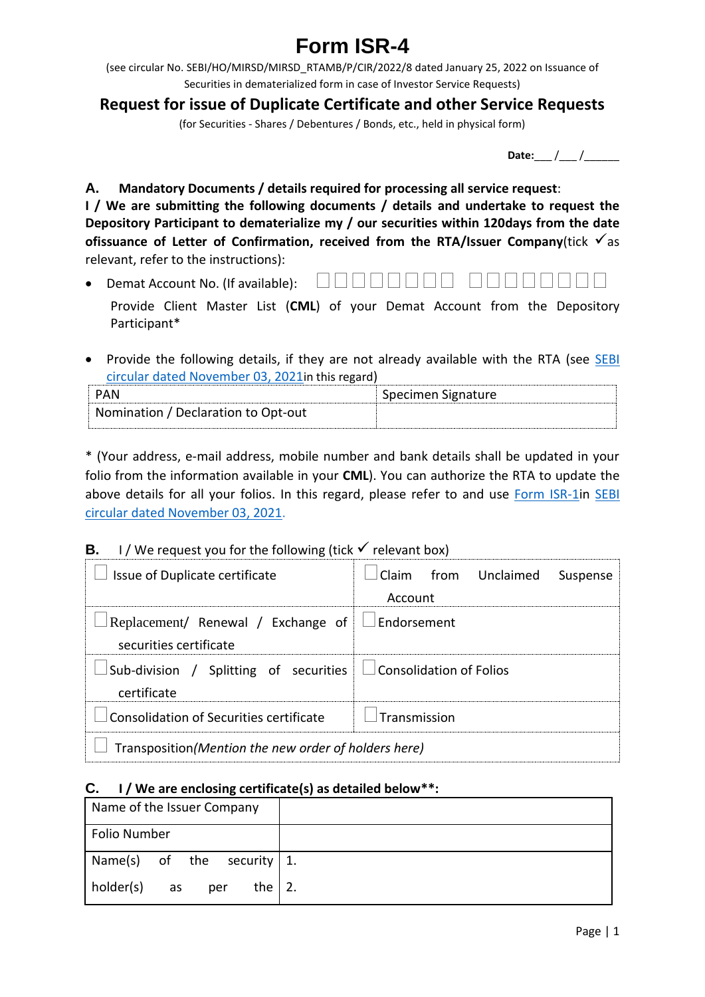# **Form ISR-4**

(see circular No. SEBI/HO/MIRSD/MIRSD\_RTAMB/P/CIR/2022/8 dated January 25, 2022 on Issuance of Securities in dematerialized form in case of Investor Service Requests)

## **Request for issue of Duplicate Certificate and other Service Requests**

(for Securities - Shares / Debentures / Bonds, etc., held in physical form)

**Date:** / /

**A. Mandatory Documents / details required for processing all service request**:

**I / We are submitting the following documents / details and undertake to request the Depository Participant to dematerialize my / our securities within 120days from the date ofissuance of Letter of Confirmation, received from the RTA/Issuer Company(tick**  $\checkmark$  **as** relevant, refer to the instructions):

- Demat Account No. (If available):  $\Box \Box \Box \Box \Box \Box \Box$ 
	- Provide Client Master List (**CML**) of your Demat Account from the Depository Participant\*
- Provide the following details, if they are not already available with the RTA (see SEBI [circular dated November 03, 2021](https://www.sebi.gov.in/legal/circulars/nov-2021/common-and-simplified-norms-for-processing-investor-s-service-request-by-rtas-and-norms-for-furnishing-pan-kyc-details-and-nomination_53787.html)in this regard)

| PAN                                 | Specimen Signature |
|-------------------------------------|--------------------|
| Nomination / Declaration to Opt-out |                    |

\* (Your address, e-mail address, mobile number and bank details shall be updated in your folio from the information available in your **CML**). You can authorize the RTA to update the above details for all your folios. In this regard, please refer to and use [Form ISR-1i](https://www.sebi.gov.in/sebi_data/commondocs/dec-2021/pdf%20Form%20ISR-1%20(1)_p.pdf)n [SEBI](https://www.sebi.gov.in/legal/circulars/nov-2021/common-and-simplified-norms-for-processing-investor-s-service-request-by-rtas-and-norms-for-furnishing-pan-kyc-details-and-nomination_53787.html)  [circular dated November 03, 2021.](https://www.sebi.gov.in/legal/circulars/nov-2021/common-and-simplified-norms-for-processing-investor-s-service-request-by-rtas-and-norms-for-furnishing-pan-kyc-details-and-nomination_53787.html)

## **B.** I/ We request you for the following (tick  $\checkmark$  relevant box)

| Issue of Duplicate certificate                                                       | Claim from Unclaimed<br>Suspense<br>Account |  |  |
|--------------------------------------------------------------------------------------|---------------------------------------------|--|--|
| Replacement/ Renewal / Exchange of $\Box$ Endorsement<br>securities certificate      |                                             |  |  |
| Sub-division / Splitting of securities $\Box$ Consolidation of Folios<br>certificate |                                             |  |  |
| Consolidation of Securities certificate                                              | $I$ Transmission                            |  |  |
| Transposition (Mention the new order of holders here)                                |                                             |  |  |

#### **C. I / We are enclosing certificate(s) as detailed below\*\*:**

| Name of the Issuer Company          |  |
|-------------------------------------|--|
| Folio Number                        |  |
| Name(s) of the security $1$ .       |  |
| holder(s)<br>the $ 2.$<br>per<br>as |  |